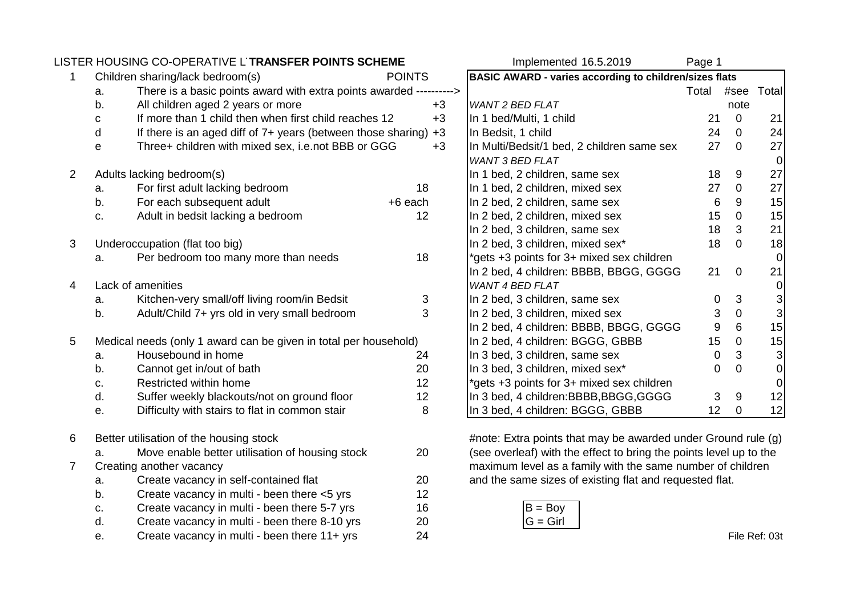|                |                                                                  | LISTER HOUSING CO-OPERATIVE L'TRANSFER POINTS SCHEME                |         |                                                                    | Implemented 16.5.2019                                         | Page 1      |                |                  |
|----------------|------------------------------------------------------------------|---------------------------------------------------------------------|---------|--------------------------------------------------------------------|---------------------------------------------------------------|-------------|----------------|------------------|
| 1              | Children sharing/lack bedroom(s)<br><b>POINTS</b>                |                                                                     |         | <b>BASIC AWARD - varies according to children/sizes flats</b>      |                                                               |             |                |                  |
|                | a.                                                               | There is a basic points award with extra points awarded ----------> |         |                                                                    |                                                               | Total       | #see           | Total            |
|                | b.                                                               | All children aged 2 years or more                                   |         | $+3$                                                               | <b>WANT 2 BED FLAT</b>                                        |             | note           |                  |
|                | С                                                                | If more than 1 child then when first child reaches 12               |         | $+3$                                                               | In 1 bed/Multi, 1 child                                       | 21          | $\mathbf 0$    | 21               |
|                | d                                                                | If there is an aged diff of 7+ years (between those sharing)        |         | $+3$                                                               | In Bedsit, 1 child                                            | 24          | $\mathbf 0$    | 24               |
|                | е                                                                | Three+ children with mixed sex, i.e.not BBB or GGG                  |         | $+3$                                                               | In Multi/Bedsit/1 bed, 2 children same sex                    | 27          | $\mathbf 0$    | 27               |
|                |                                                                  |                                                                     |         |                                                                    | <b>WANT 3 BED FLAT</b>                                        |             |                | $\pmb{0}$        |
| $\overline{2}$ | Adults lacking bedroom(s)                                        |                                                                     |         |                                                                    | In 1 bed, 2 children, same sex                                | 18          | 9              | 27               |
|                | a.                                                               | For first adult lacking bedroom                                     | 18      |                                                                    | In 1 bed, 2 children, mixed sex                               | 27          | $\mathbf 0$    | 27               |
|                | b.                                                               | For each subsequent adult                                           | +6 each |                                                                    | In 2 bed, 2 children, same sex                                | 6           | 9              | 15               |
|                | c.                                                               | Adult in bedsit lacking a bedroom                                   | 12      |                                                                    | In 2 bed, 2 children, mixed sex                               | 15          | $\mathbf 0$    | 15               |
|                |                                                                  |                                                                     |         |                                                                    | In 2 bed, 3 children, same sex                                | 18          | 3              | 21               |
| 3              |                                                                  | Underoccupation (flat too big)                                      |         |                                                                    | In 2 bed, 3 children, mixed sex*                              | 18          | $\mathbf 0$    | 18               |
|                | a.                                                               | Per bedroom too many more than needs                                | 18      |                                                                    | *gets +3 points for 3+ mixed sex children                     |             |                | $\mathbf 0$      |
|                |                                                                  |                                                                     |         |                                                                    | In 2 bed, 4 children: BBBB, BBGG, GGGG                        | 21          | $\overline{0}$ | 21               |
| 4              | Lack of amenities                                                |                                                                     |         |                                                                    | <b>WANT 4 BED FLAT</b>                                        |             |                | 0                |
|                | a.                                                               | Kitchen-very small/off living room/in Bedsit                        | 3       |                                                                    | In 2 bed, 3 children, same sex                                | 0           | 3              | $\mathbf{3}$     |
|                | b.                                                               | Adult/Child 7+ yrs old in very small bedroom                        | 3       |                                                                    | In 2 bed, 3 children, mixed sex                               | $\mathsf 3$ | $\mathbf 0$    | $\mathbf{3}$     |
|                |                                                                  |                                                                     |         |                                                                    | In 2 bed, 4 children: BBBB, BBGG, GGGG                        | 9           | 6              | 15               |
| 5              | Medical needs (only 1 award can be given in total per household) |                                                                     |         | In 2 bed, 4 children: BGGG, GBBB                                   | 15                                                            | $\mathbf 0$ | 15             |                  |
|                | a.                                                               | Housebound in home                                                  | 24      |                                                                    | In 3 bed, 3 children, same sex                                | $\mathbf 0$ | 3              | $\mathbf{3}$     |
|                | b.                                                               | Cannot get in/out of bath                                           | 20      |                                                                    | In 3 bed, 3 children, mixed sex*                              | 0           | $\mathbf 0$    | $\overline{0}$   |
|                | c.                                                               | Restricted within home                                              | 12      |                                                                    | *gets +3 points for 3+ mixed sex children                     |             |                | $\boldsymbol{0}$ |
|                | d.                                                               | Suffer weekly blackouts/not on ground floor                         | 12      |                                                                    | In 3 bed, 4 children: BBBB, BBGG, GGGG                        | 3           | 9              | 12               |
|                | е.                                                               | Difficulty with stairs to flat in common stair                      | 8       |                                                                    | In 3 bed, 4 children: BGGG, GBBB                              | 12          | $\mathbf 0$    | 12               |
| 6              |                                                                  | Better utilisation of the housing stock                             |         |                                                                    | #note: Extra points that may be awarded under Ground rule (g) |             |                |                  |
|                | Move enable better utilisation of housing stock<br>20<br>a.      |                                                                     |         | (see overleaf) with the effect to bring the points level up to the |                                                               |             |                |                  |
| $\overline{7}$ | Creating another vacancy                                         |                                                                     |         | maximum level as a family with the same number of children         |                                                               |             |                |                  |
|                | Create vacancy in self-contained flat<br>20<br>a.                |                                                                     |         | and the same sizes of existing flat and requested flat.            |                                                               |             |                |                  |
|                | b.                                                               | Create vacancy in multi - been there <5 yrs                         | 12      |                                                                    |                                                               |             |                |                  |
|                | c.                                                               | Create vacancy in multi - been there 5-7 yrs                        | 16      |                                                                    | $B = Boy$                                                     |             |                |                  |
|                | d.                                                               | Create vacancy in multi - been there 8-10 yrs                       | 20      |                                                                    | $G = Girl$                                                    |             |                |                  |
|                | е.                                                               | Create vacancy in multi - been there 11+ yrs                        | 24      |                                                                    |                                                               |             |                | File Ref: 03t    |
|                |                                                                  |                                                                     |         |                                                                    |                                                               |             |                |                  |